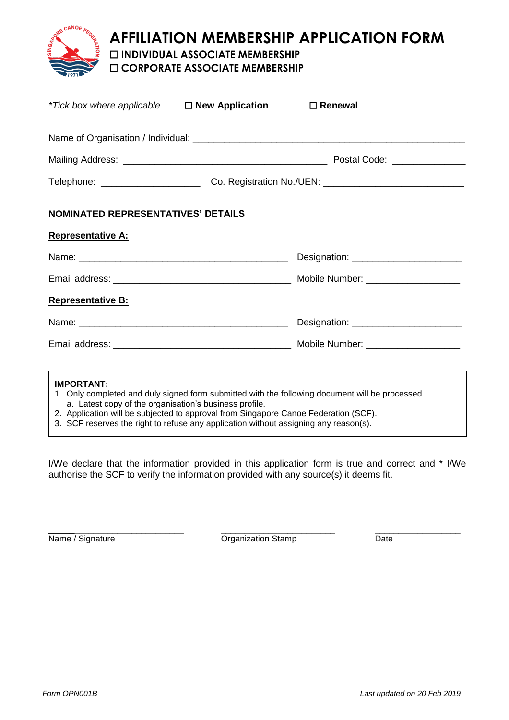

## **AFFILIATION MEMBERSHIP APPLICATION FORM**

☐ **INDIVIDUAL ASSOCIATE MEMBERSHIP** 

☐ **CORPORATE ASSOCIATE MEMBERSHIP** 

| <i>*Tick box where applicable</i> $\Box$ <b>New Application</b>             |  | $\Box$ Renewal                                                                                  |  |
|-----------------------------------------------------------------------------|--|-------------------------------------------------------------------------------------------------|--|
|                                                                             |  |                                                                                                 |  |
|                                                                             |  |                                                                                                 |  |
|                                                                             |  |                                                                                                 |  |
| <b>NOMINATED REPRESENTATIVES' DETAILS</b>                                   |  |                                                                                                 |  |
| <b>Representative A:</b>                                                    |  |                                                                                                 |  |
|                                                                             |  |                                                                                                 |  |
|                                                                             |  |                                                                                                 |  |
| <b>Representative B:</b>                                                    |  |                                                                                                 |  |
|                                                                             |  |                                                                                                 |  |
|                                                                             |  |                                                                                                 |  |
| <b>IMPORTANT:</b><br>a. Latest copy of the organisation's business profile. |  | 1. Only completed and duly signed form submitted with the following document will be processed. |  |

- 2. Application will be subjected to approval from Singapore Canoe Federation (SCF).
- 3. SCF reserves the right to refuse any application without assigning any reason(s).

I/We declare that the information provided in this application form is true and correct and \* I/We authorise the SCF to verify the information provided with any source(s) it deems fit.

\_\_\_\_\_\_\_\_\_\_\_\_\_\_\_\_\_\_\_\_\_\_\_\_\_\_\_\_ \_\_\_\_\_\_\_\_\_\_\_\_\_\_\_\_\_\_\_\_\_\_\_\_ \_\_\_\_\_\_\_\_\_\_\_\_\_\_\_\_\_\_ Name / Signature Date **Organization Stamp** Date Date